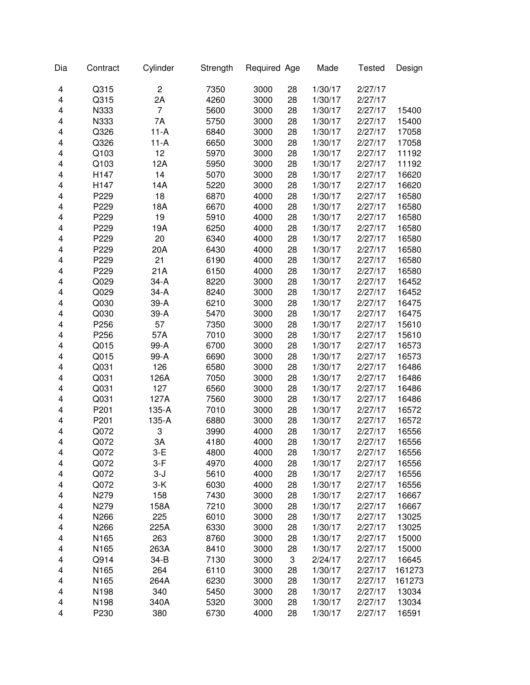| Dia | Contract | Cylinder       | Strength | Required Age |    | Made    | <b>Tested</b> | Design |
|-----|----------|----------------|----------|--------------|----|---------|---------------|--------|
| 4   | Q315     | $\overline{c}$ | 7350     | 3000         | 28 | 1/30/17 | 2/27/17       |        |
| 4   | Q315     | 2A             | 4260     | 3000         | 28 | 1/30/17 | 2/27/17       |        |
| 4   | N333     | 7              | 5600     | 3000         | 28 | 1/30/17 | 2/27/17       | 15400  |
| 4   | N333     | 7A             | 5750     | 3000         | 28 | 1/30/17 | 2/27/17       | 15400  |
| 4   | Q326     | $11-A$         | 6840     | 3000         | 28 | 1/30/17 | 2/27/17       | 17058  |
| 4   | Q326     | $11-A$         | 6650     | 3000         | 28 | 1/30/17 | 2/27/17       | 17058  |
| 4   | Q103     | 12             | 5970     | 3000         | 28 | 1/30/17 | 2/27/17       | 11192  |
| 4   | Q103     | 12A            | 5950     | 3000         | 28 | 1/30/17 | 2/27/17       | 11192  |
| 4   | H147     | 14             | 5070     | 3000         | 28 | 1/30/17 | 2/27/17       | 16620  |
| 4   | H147     | 14A            | 5220     | 3000         | 28 | 1/30/17 | 2/27/17       | 16620  |
| 4   | P229     | 18             | 6870     | 4000         | 28 | 1/30/17 | 2/27/17       | 16580  |
| 4   | P229     | 18A            | 6670     | 4000         | 28 | 1/30/17 | 2/27/17       | 16580  |
| 4   | P229     | 19             | 5910     | 4000         | 28 | 1/30/17 | 2/27/17       | 16580  |
| 4   | P229     | 19A            | 6250     | 4000         | 28 | 1/30/17 | 2/27/17       | 16580  |
| 4   | P229     | 20             | 6340     | 4000         | 28 | 1/30/17 | 2/27/17       | 16580  |
| 4   | P229     | 20A            | 6430     | 4000         | 28 | 1/30/17 | 2/27/17       | 16580  |
| 4   | P229     | 21             | 6190     | 4000         | 28 | 1/30/17 | 2/27/17       | 16580  |
| 4   | P229     | 21A            | 6150     | 4000         | 28 | 1/30/17 | 2/27/17       | 16580  |
| 4   | Q029     | $34-A$         | 8220     | 3000         | 28 | 1/30/17 | 2/27/17       | 16452  |
| 4   | Q029     | $34-A$         | 8240     | 3000         | 28 | 1/30/17 | 2/27/17       | 16452  |
| 4   | Q030     | $39-A$         | 6210     | 3000         | 28 | 1/30/17 | 2/27/17       | 16475  |
| 4   | Q030     | 39-A           | 5470     | 3000         | 28 | 1/30/17 | 2/27/17       | 16475  |
| 4   | P256     | 57             | 7350     | 3000         | 28 | 1/30/17 | 2/27/17       | 15610  |
| 4   | P256     | 57A            | 7010     | 3000         | 28 | 1/30/17 | 2/27/17       | 15610  |
| 4   | Q015     | 99-A           | 6700     | 3000         | 28 | 1/30/17 | 2/27/17       | 16573  |
| 4   | Q015     | 99-A           | 6690     | 3000         | 28 | 1/30/17 | 2/27/17       | 16573  |
| 4   | Q031     | 126            | 6580     | 3000         | 28 | 1/30/17 | 2/27/17       | 16486  |
| 4   | Q031     | 126A           | 7050     | 3000         | 28 | 1/30/17 | 2/27/17       | 16486  |
| 4   | Q031     | 127            | 6560     | 3000         | 28 | 1/30/17 | 2/27/17       | 16486  |
| 4   | Q031     | 127A           | 7560     | 3000         | 28 | 1/30/17 | 2/27/17       | 16486  |
| 4   | P201     | 135-A          | 7010     | 3000         | 28 | 1/30/17 | 2/27/17       | 16572  |
| 4   | P201     | 135-A          | 6880     | 3000         | 28 | 1/30/17 | 2/27/17       | 16572  |
| 4   | Q072     | 3              | 3990     | 4000         | 28 | 1/30/17 | 2/27/17       | 16556  |
| 4   | Q072     | 3A             | 4180     | 4000         | 28 | 1/30/17 | 2/27/17       | 16556  |
| 4   | Q072     | 3-E            | 4800     | 4000         | 28 | 1/30/17 | 2/27/17       | 16556  |
| 4   | Q072     | $3-F$          | 4970     | 4000         | 28 | 1/30/17 | 2/27/17       | 16556  |
| 4   | Q072     | $3-J$          | 5610     | 4000         | 28 | 1/30/17 | 2/27/17       | 16556  |
| 4   | Q072     | $3-K$          | 6030     | 4000         | 28 | 1/30/17 | 2/27/17       | 16556  |
| 4   | N279     | 158            | 7430     | 3000         | 28 | 1/30/17 | 2/27/17       | 16667  |
| 4   | N279     | 158A           | 7210     | 3000         | 28 | 1/30/17 | 2/27/17       | 16667  |
| 4   | N266     | 225            | 6010     | 3000         | 28 | 1/30/17 | 2/27/17       | 13025  |
| 4   | N266     | 225A           | 6330     | 3000         | 28 | 1/30/17 | 2/27/17       | 13025  |
| 4   | N165     | 263            | 8760     | 3000         | 28 | 1/30/17 | 2/27/17       | 15000  |
| 4   | N165     | 263A           | 8410     | 3000         | 28 | 1/30/17 | 2/27/17       | 15000  |
| 4   | Q914     | 34-B           | 7130     | 3000         | 3  | 2/24/17 | 2/27/17       | 16645  |
| 4   | N165     | 264            | 6110     | 3000         | 28 | 1/30/17 | 2/27/17       | 161273 |
| 4   | N165     | 264A           | 6230     | 3000         | 28 | 1/30/17 | 2/27/17       | 161273 |
| 4   | N198     | 340            | 5450     | 3000         | 28 | 1/30/17 | 2/27/17       | 13034  |
| 4   | N198     | 340A           | 5320     | 3000         | 28 | 1/30/17 | 2/27/17       | 13034  |
| 4   | P230     | 380            | 6730     | 4000         | 28 | 1/30/17 | 2/27/17       | 16591  |
|     |          |                |          |              |    |         |               |        |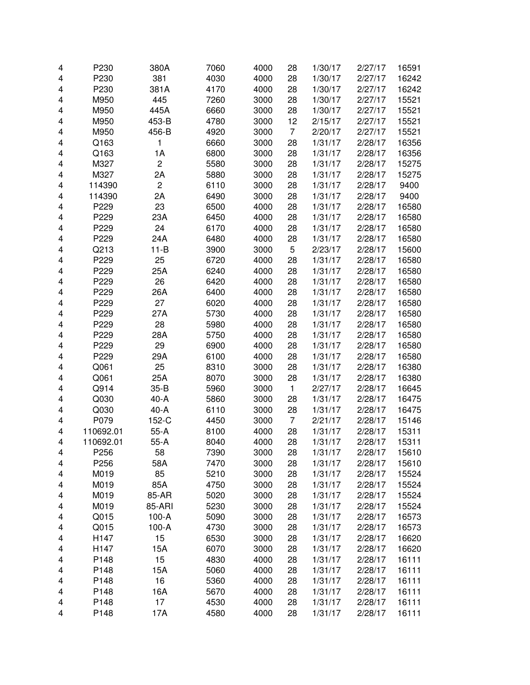| 4 | P230             | 380A           | 7060 | 4000 | 28             | 1/30/17 | 2/27/17 | 16591 |
|---|------------------|----------------|------|------|----------------|---------|---------|-------|
| 4 | P230             | 381            | 4030 | 4000 | 28             | 1/30/17 | 2/27/17 | 16242 |
| 4 | P230             | 381A           | 4170 | 4000 | 28             | 1/30/17 | 2/27/17 | 16242 |
| 4 | M950             | 445            | 7260 | 3000 | 28             | 1/30/17 | 2/27/17 | 15521 |
| 4 | M950             | 445A           | 6660 | 3000 | 28             | 1/30/17 | 2/27/17 | 15521 |
| 4 | M950             | 453-B          | 4780 | 3000 | 12             | 2/15/17 | 2/27/17 | 15521 |
|   |                  |                |      |      | $\overline{7}$ |         |         |       |
| 4 | M950             | 456-B          | 4920 | 3000 |                | 2/20/17 | 2/27/17 | 15521 |
| 4 | Q163             | 1              | 6660 | 3000 | 28             | 1/31/17 | 2/28/17 | 16356 |
| 4 | Q163             | 1A             | 6800 | 3000 | 28             | 1/31/17 | 2/28/17 | 16356 |
| 4 | M327             | $\overline{c}$ | 5580 | 3000 | 28             | 1/31/17 | 2/28/17 | 15275 |
| 4 | M327             | 2A             | 5880 | 3000 | 28             | 1/31/17 | 2/28/17 | 15275 |
| 4 | 114390           | $\overline{c}$ | 6110 | 3000 | 28             | 1/31/17 | 2/28/17 | 9400  |
| 4 | 114390           | 2A             | 6490 | 3000 | 28             | 1/31/17 | 2/28/17 | 9400  |
| 4 | P229             | 23             | 6500 | 4000 | 28             | 1/31/17 | 2/28/17 | 16580 |
| 4 | P229             | 23A            | 6450 | 4000 | 28             | 1/31/17 | 2/28/17 | 16580 |
| 4 | P229             | 24             | 6170 | 4000 | 28             | 1/31/17 | 2/28/17 | 16580 |
| 4 | P229             | 24A            | 6480 | 4000 | 28             | 1/31/17 | 2/28/17 | 16580 |
| 4 | Q213             | $11-B$         | 3900 | 3000 | 5              | 2/23/17 | 2/28/17 | 15600 |
| 4 | P229             | 25             | 6720 | 4000 | 28             | 1/31/17 | 2/28/17 | 16580 |
| 4 | P229             | 25A            | 6240 | 4000 | 28             | 1/31/17 | 2/28/17 | 16580 |
| 4 | P229             | 26             | 6420 | 4000 | 28             | 1/31/17 | 2/28/17 | 16580 |
| 4 | P229             | 26A            | 6400 | 4000 | 28             | 1/31/17 | 2/28/17 | 16580 |
| 4 | P229             | 27             | 6020 | 4000 | 28             | 1/31/17 | 2/28/17 | 16580 |
| 4 | P229             | 27A            | 5730 | 4000 | 28             | 1/31/17 | 2/28/17 | 16580 |
| 4 | P229             | 28             | 5980 | 4000 | 28             | 1/31/17 | 2/28/17 | 16580 |
| 4 | P229             | 28A            | 5750 | 4000 | 28             | 1/31/17 | 2/28/17 | 16580 |
| 4 | P229             | 29             | 6900 | 4000 | 28             | 1/31/17 | 2/28/17 | 16580 |
| 4 | P229             | 29A            | 6100 | 4000 | 28             | 1/31/17 | 2/28/17 | 16580 |
| 4 | Q061             | 25             | 8310 | 3000 | 28             | 1/31/17 | 2/28/17 | 16380 |
| 4 | Q061             | 25A            | 8070 | 3000 | 28             | 1/31/17 | 2/28/17 | 16380 |
| 4 | Q914             | $35 - B$       | 5960 | 3000 | $\mathbf{1}$   | 2/27/17 | 2/28/17 | 16645 |
| 4 | Q030             | $40-A$         | 5860 | 3000 | 28             | 1/31/17 | 2/28/17 | 16475 |
| 4 | Q030             | $40-A$         | 6110 | 3000 | 28             | 1/31/17 | 2/28/17 | 16475 |
| 4 | P079             | 152-C          | 4450 | 3000 | 7              | 2/21/17 | 2/28/17 | 15146 |
| 4 | 110692.01        | $55-A$         | 8100 | 4000 | 28             | 1/31/17 | 2/28/17 | 15311 |
| 4 | 110692.01        | $55-A$         | 8040 | 4000 | 28             | 1/31/17 | 2/28/17 | 15311 |
| 4 | P <sub>256</sub> | 58             | 7390 | 3000 | 28             | 1/31/17 | 2/28/17 | 15610 |
| 4 | P256             | 58A            | 7470 | 3000 | 28             | 1/31/17 | 2/28/17 | 15610 |
| 4 | M019             | 85             | 5210 | 3000 | 28             | 1/31/17 | 2/28/17 | 15524 |
| 4 | M019             | 85A            | 4750 | 3000 | 28             | 1/31/17 | 2/28/17 | 15524 |
| 4 | M019             | 85-AR          | 5020 | 3000 | 28             | 1/31/17 | 2/28/17 | 15524 |
| 4 | M019             | 85-ARI         | 5230 | 3000 | 28             | 1/31/17 | 2/28/17 | 15524 |
| 4 | Q015             | $100-A$        | 5090 | 3000 | 28             | 1/31/17 | 2/28/17 | 16573 |
| 4 | Q015             | $100-A$        | 4730 | 3000 | 28             | 1/31/17 | 2/28/17 | 16573 |
| 4 | H147             | 15             | 6530 | 3000 | 28             | 1/31/17 | 2/28/17 | 16620 |
| 4 | H147             | 15A            | 6070 | 3000 | 28             | 1/31/17 | 2/28/17 | 16620 |
| 4 | P148             | 15             | 4830 | 4000 | 28             | 1/31/17 | 2/28/17 | 16111 |
| 4 | P148             | 15A            | 5060 | 4000 | 28             | 1/31/17 | 2/28/17 | 16111 |
| 4 | P148             | 16             | 5360 | 4000 | 28             | 1/31/17 | 2/28/17 | 16111 |
| 4 | P148             | 16A            | 5670 | 4000 | 28             | 1/31/17 | 2/28/17 | 16111 |
| 4 | P148             | 17             | 4530 | 4000 | 28             | 1/31/17 | 2/28/17 | 16111 |
| 4 | P148             | 17A            | 4580 | 4000 | 28             | 1/31/17 | 2/28/17 | 16111 |
|   |                  |                |      |      |                |         |         |       |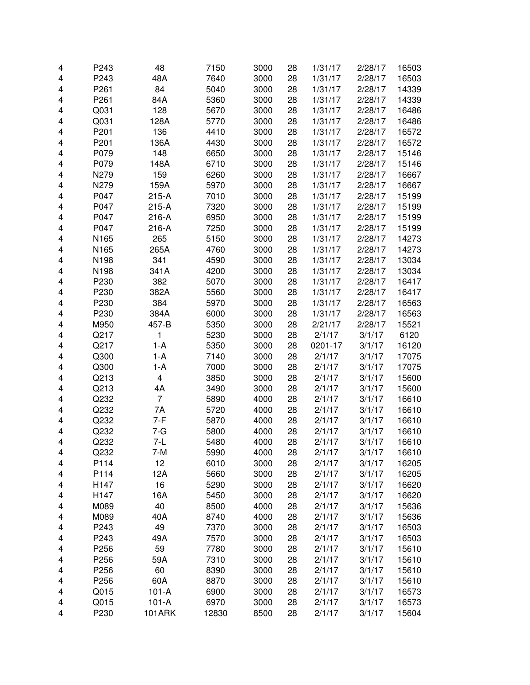| 4 | P243             | 48             | 7150  | 3000 | 28 | 1/31/17 | 2/28/17 | 16503 |
|---|------------------|----------------|-------|------|----|---------|---------|-------|
| 4 | P243             | 48A            | 7640  | 3000 | 28 | 1/31/17 | 2/28/17 | 16503 |
| 4 | P <sub>261</sub> | 84             | 5040  | 3000 | 28 | 1/31/17 | 2/28/17 | 14339 |
| 4 | P <sub>261</sub> | 84A            | 5360  | 3000 | 28 | 1/31/17 | 2/28/17 | 14339 |
| 4 | Q031             | 128            | 5670  | 3000 | 28 | 1/31/17 | 2/28/17 | 16486 |
| 4 | Q031             | 128A           | 5770  | 3000 | 28 | 1/31/17 | 2/28/17 | 16486 |
| 4 | P201             | 136            | 4410  | 3000 | 28 | 1/31/17 | 2/28/17 | 16572 |
| 4 | P201             | 136A           | 4430  | 3000 | 28 | 1/31/17 | 2/28/17 | 16572 |
| 4 | P079             | 148            | 6650  | 3000 | 28 | 1/31/17 | 2/28/17 | 15146 |
| 4 | P079             | 148A           | 6710  | 3000 | 28 | 1/31/17 | 2/28/17 | 15146 |
| 4 | N279             | 159            | 6260  | 3000 | 28 | 1/31/17 | 2/28/17 | 16667 |
| 4 | N279             | 159A           | 5970  | 3000 | 28 | 1/31/17 | 2/28/17 | 16667 |
| 4 | P047             | $215-A$        | 7010  | 3000 | 28 | 1/31/17 | 2/28/17 | 15199 |
| 4 | P047             | $215-A$        | 7320  | 3000 | 28 | 1/31/17 | 2/28/17 | 15199 |
| 4 | P047             | 216-A          | 6950  | 3000 | 28 | 1/31/17 | 2/28/17 | 15199 |
| 4 | P047             | 216-A          | 7250  | 3000 | 28 | 1/31/17 | 2/28/17 | 15199 |
| 4 | N165             | 265            | 5150  | 3000 | 28 | 1/31/17 | 2/28/17 | 14273 |
| 4 | N165             | 265A           | 4760  | 3000 | 28 | 1/31/17 | 2/28/17 | 14273 |
| 4 | N198             | 341            | 4590  | 3000 | 28 | 1/31/17 | 2/28/17 | 13034 |
| 4 | N198             | 341A           | 4200  | 3000 | 28 | 1/31/17 | 2/28/17 | 13034 |
| 4 | P230             | 382            | 5070  | 3000 | 28 | 1/31/17 | 2/28/17 | 16417 |
| 4 | P230             | 382A           | 5560  | 3000 | 28 | 1/31/17 | 2/28/17 | 16417 |
| 4 | P230             | 384            | 5970  | 3000 | 28 | 1/31/17 | 2/28/17 | 16563 |
| 4 | P230             | 384A           | 6000  | 3000 | 28 | 1/31/17 | 2/28/17 | 16563 |
| 4 | M950             | 457-B          | 5350  | 3000 | 28 | 2/21/17 | 2/28/17 | 15521 |
| 4 | Q217             | 1              | 5230  | 3000 | 28 | 2/1/17  | 3/1/17  | 6120  |
| 4 | Q217             | $1-A$          | 5350  | 3000 | 28 | 0201-17 | 3/1/17  | 16120 |
| 4 | Q300             | $1-A$          | 7140  | 3000 | 28 | 2/1/17  | 3/1/17  | 17075 |
| 4 | Q300             | $1-A$          | 7000  | 3000 | 28 | 2/1/17  | 3/1/17  | 17075 |
| 4 | Q213             | 4              | 3850  | 3000 | 28 | 2/1/17  | 3/1/17  | 15600 |
| 4 | Q213             | 4A             | 3490  | 3000 | 28 | 2/1/17  | 3/1/17  | 15600 |
| 4 | Q232             | $\overline{7}$ | 5890  | 4000 | 28 | 2/1/17  | 3/1/17  | 16610 |
| 4 | Q232             | 7A             | 5720  | 4000 | 28 | 2/1/17  | 3/1/17  | 16610 |
| 4 | Q232             | $7-F$          | 5870  | 4000 | 28 | 2/1/17  | 3/1/17  | 16610 |
| 4 | Q232             | 7-G            | 5800  | 4000 | 28 | 2/1/17  | 3/1/17  | 16610 |
| 4 | Q232             | $7-L$          | 5480  | 4000 | 28 | 2/1/17  | 3/1/17  | 16610 |
| 4 | Q232             | 7-M            | 5990  | 4000 | 28 | 2/1/17  | 3/1/17  | 16610 |
| 4 | P114             | 12             | 6010  | 3000 | 28 | 2/1/17  | 3/1/17  | 16205 |
| 4 | P114             | 12A            | 5660  | 3000 | 28 | 2/1/17  | 3/1/17  | 16205 |
| 4 | H147             | 16             | 5290  | 3000 | 28 | 2/1/17  | 3/1/17  | 16620 |
| 4 | H147             | 16A            | 5450  | 3000 | 28 | 2/1/17  | 3/1/17  | 16620 |
| 4 | M089             | 40             | 8500  | 4000 | 28 | 2/1/17  | 3/1/17  | 15636 |
| 4 | M089             | 40A            | 8740  | 4000 | 28 | 2/1/17  | 3/1/17  | 15636 |
| 4 | P243             | 49             | 7370  | 3000 | 28 | 2/1/17  | 3/1/17  | 16503 |
| 4 | P243             | 49A            | 7570  | 3000 | 28 | 2/1/17  | 3/1/17  | 16503 |
| 4 | P256             | 59             | 7780  | 3000 | 28 | 2/1/17  | 3/1/17  | 15610 |
| 4 | P256             | 59A            | 7310  | 3000 | 28 | 2/1/17  | 3/1/17  | 15610 |
| 4 | P256             | 60             | 8390  | 3000 | 28 | 2/1/17  | 3/1/17  | 15610 |
| 4 | P256             | 60A            | 8870  | 3000 | 28 | 2/1/17  | 3/1/17  | 15610 |
| 4 | Q015             | $101-A$        | 6900  | 3000 | 28 | 2/1/17  | 3/1/17  | 16573 |
| 4 | Q015             | $101-A$        | 6970  | 3000 | 28 | 2/1/17  | 3/1/17  | 16573 |
| 4 | P230             | <b>101ARK</b>  | 12830 | 8500 | 28 | 2/1/17  | 3/1/17  | 15604 |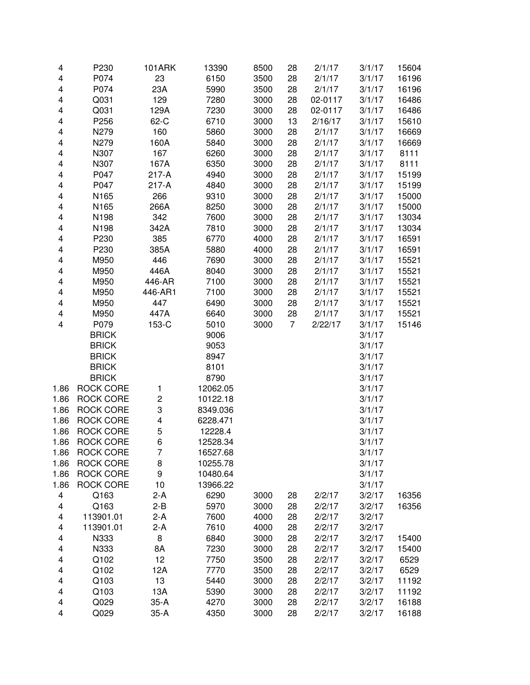| 4    | P230             | <b>101ARK</b>           | 13390    | 8500 | 28 | 2/1/17  | 3/1/17 | 15604 |
|------|------------------|-------------------------|----------|------|----|---------|--------|-------|
| 4    | P074             | 23                      | 6150     | 3500 | 28 | 2/1/17  | 3/1/17 | 16196 |
| 4    | P074             | 23A                     | 5990     | 3500 | 28 | 2/1/17  | 3/1/17 | 16196 |
| 4    | Q031             | 129                     | 7280     | 3000 | 28 | 02-0117 | 3/1/17 | 16486 |
| 4    | Q031             | 129A                    | 7230     | 3000 | 28 | 02-0117 | 3/1/17 | 16486 |
| 4    | P256             | 62-C                    | 6710     | 3000 | 13 | 2/16/17 | 3/1/17 | 15610 |
| 4    | N279             | 160                     | 5860     | 3000 | 28 | 2/1/17  | 3/1/17 | 16669 |
| 4    | N279             | 160A                    | 5840     | 3000 | 28 | 2/1/17  | 3/1/17 | 16669 |
| 4    | N307             | 167                     | 6260     | 3000 | 28 | 2/1/17  | 3/1/17 | 8111  |
| 4    | N307             | 167A                    | 6350     | 3000 | 28 | 2/1/17  | 3/1/17 | 8111  |
| 4    | P047             | 217-A                   | 4940     | 3000 | 28 | 2/1/17  | 3/1/17 | 15199 |
| 4    | P047             | $217-A$                 | 4840     | 3000 | 28 | 2/1/17  | 3/1/17 | 15199 |
| 4    | N165             | 266                     | 9310     | 3000 | 28 | 2/1/17  | 3/1/17 | 15000 |
| 4    | N165             | 266A                    | 8250     | 3000 | 28 | 2/1/17  | 3/1/17 | 15000 |
| 4    | N198             | 342                     | 7600     | 3000 | 28 | 2/1/17  | 3/1/17 | 13034 |
| 4    | N198             | 342A                    | 7810     | 3000 | 28 | 2/1/17  | 3/1/17 | 13034 |
| 4    | P230             | 385                     | 6770     | 4000 | 28 | 2/1/17  | 3/1/17 | 16591 |
| 4    | P230             | 385A                    | 5880     | 4000 | 28 | 2/1/17  | 3/1/17 | 16591 |
| 4    | M950             | 446                     | 7690     | 3000 | 28 | 2/1/17  | 3/1/17 | 15521 |
| 4    | M950             | 446A                    | 8040     | 3000 | 28 | 2/1/17  | 3/1/17 | 15521 |
| 4    | M950             | 446-AR                  | 7100     | 3000 | 28 | 2/1/17  | 3/1/17 | 15521 |
| 4    | M950             | 446-AR1                 | 7100     | 3000 | 28 | 2/1/17  | 3/1/17 | 15521 |
| 4    | M950             | 447                     | 6490     | 3000 | 28 | 2/1/17  | 3/1/17 | 15521 |
| 4    | M950             | 447A                    | 6640     | 3000 | 28 | 2/1/17  | 3/1/17 | 15521 |
| 4    | P079             | 153-C                   | 5010     | 3000 | 7  | 2/22/17 | 3/1/17 | 15146 |
|      | <b>BRICK</b>     |                         | 9006     |      |    |         | 3/1/17 |       |
|      | <b>BRICK</b>     |                         | 9053     |      |    |         | 3/1/17 |       |
|      | <b>BRICK</b>     |                         | 8947     |      |    |         | 3/1/17 |       |
|      | <b>BRICK</b>     |                         | 8101     |      |    |         | 3/1/17 |       |
|      | <b>BRICK</b>     |                         | 8790     |      |    |         | 3/1/17 |       |
| 1.86 | <b>ROCK CORE</b> | 1                       | 12062.05 |      |    |         | 3/1/17 |       |
| 1.86 | <b>ROCK CORE</b> | $\overline{c}$          | 10122.18 |      |    |         | 3/1/17 |       |
| 1.86 | <b>ROCK CORE</b> | 3                       | 8349.036 |      |    |         | 3/1/17 |       |
| 1.86 | <b>ROCK CORE</b> | $\overline{\mathbf{4}}$ | 6228.471 |      |    |         | 3/1/17 |       |
| 1.86 | <b>ROCK CORE</b> | 5                       | 12228.4  |      |    |         | 3/1/17 |       |
| 1.86 | <b>ROCK CORE</b> | 6                       | 12528.34 |      |    |         | 3/1/17 |       |
| 1.86 | <b>ROCK CORE</b> | 7                       | 16527.68 |      |    |         | 3/1/17 |       |
| 1.86 | <b>ROCK CORE</b> | 8                       | 10255.78 |      |    |         | 3/1/17 |       |
| 1.86 | <b>ROCK CORE</b> | 9                       | 10480.64 |      |    |         | 3/1/17 |       |
| 1.86 | <b>ROCK CORE</b> | 10                      | 13966.22 |      |    |         | 3/1/17 |       |
| 4    | Q163             | $2-A$                   | 6290     | 3000 | 28 | 2/2/17  | 3/2/17 | 16356 |
| 4    | Q163             | $2 - B$                 | 5970     | 3000 | 28 | 2/2/17  | 3/2/17 | 16356 |
| 4    | 113901.01        | $2-A$                   | 7600     | 4000 | 28 | 2/2/17  | 3/2/17 |       |
| 4    | 113901.01        | $2-A$                   | 7610     | 4000 | 28 | 2/2/17  | 3/2/17 |       |
| 4    | N333             | 8                       | 6840     | 3000 | 28 | 2/2/17  | 3/2/17 | 15400 |
| 4    | N333             | 8A                      | 7230     | 3000 | 28 | 2/2/17  | 3/2/17 | 15400 |
| 4    | Q102             | 12                      | 7750     | 3500 | 28 | 2/2/17  | 3/2/17 | 6529  |
| 4    | Q102             | 12A                     | 7770     | 3500 | 28 | 2/2/17  | 3/2/17 | 6529  |
| 4    | Q103             | 13                      | 5440     | 3000 | 28 | 2/2/17  | 3/2/17 | 11192 |
| 4    | Q103             | 13A                     | 5390     | 3000 | 28 | 2/2/17  | 3/2/17 | 11192 |
| 4    | Q029             | $35-A$                  | 4270     | 3000 | 28 | 2/2/17  | 3/2/17 | 16188 |
| 4    | Q029             | $35-A$                  | 4350     | 3000 | 28 | 2/2/17  | 3/2/17 | 16188 |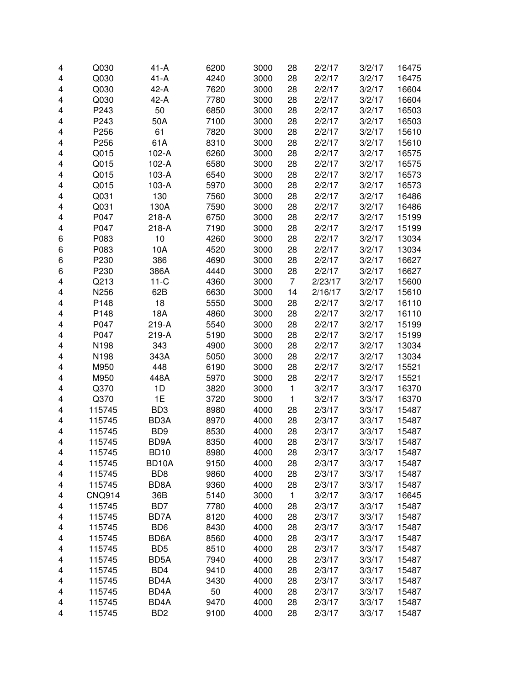| 4      | Q030             | $41-A$                                 | 6200         | 3000         | 28           | 2/2/17           | 3/2/17           | 16475          |
|--------|------------------|----------------------------------------|--------------|--------------|--------------|------------------|------------------|----------------|
| 4      | Q030             | $41-A$                                 | 4240         | 3000         | 28           | 2/2/17           | 3/2/17           | 16475          |
| 4      | Q030             | $42-A$                                 | 7620         | 3000         | 28           | 2/2/17           | 3/2/17           | 16604          |
| 4      | Q030             | 42-A                                   | 7780         | 3000         | 28           | 2/2/17           | 3/2/17           | 16604          |
| 4      | P243             | 50                                     | 6850         | 3000         | 28           | 2/2/17           | 3/2/17           | 16503          |
| 4      | P243             | 50A                                    | 7100         | 3000         | 28           | 2/2/17           | 3/2/17           | 16503          |
| 4      | P256             | 61                                     | 7820         | 3000         | 28           | 2/2/17           | 3/2/17           | 15610          |
| 4      | P256             | 61A                                    | 8310         | 3000         | 28           | 2/2/17           | 3/2/17           | 15610          |
| 4      | Q015             | $102-A$                                | 6260         | 3000         | 28           | 2/2/17           | 3/2/17           | 16575          |
| 4      | Q015             | $102-A$                                | 6580         | 3000         | 28           | 2/2/17           | 3/2/17           | 16575          |
| 4      | Q015             | 103-A                                  | 6540         | 3000         | 28           | 2/2/17           | 3/2/17           | 16573          |
| 4      | Q015             | 103-A                                  | 5970         | 3000         | 28           | 2/2/17           | 3/2/17           | 16573          |
| 4      | Q031             | 130                                    | 7560         | 3000         | 28           | 2/2/17           | 3/2/17           | 16486          |
| 4      | Q031             | 130A                                   | 7590         | 3000         | 28           | 2/2/17           | 3/2/17           | 16486          |
| 4      | P047             | 218-A                                  | 6750         | 3000         | 28           | 2/2/17           | 3/2/17           | 15199          |
| 4      | P047             | 218-A                                  | 7190         | 3000         | 28           | 2/2/17           | 3/2/17           | 15199          |
| 6      | P083             | 10                                     | 4260         | 3000         | 28           | 2/2/17           | 3/2/17           | 13034          |
| 6      | P083             | 10A                                    | 4520         | 3000         | 28           | 2/2/17           | 3/2/17           | 13034          |
| 6      | P230             | 386                                    | 4690         | 3000         | 28           | 2/2/17           | 3/2/17           | 16627          |
| 6      | P230             | 386A                                   | 4440         | 3000         | 28           | 2/2/17           | 3/2/17           | 16627          |
| 4      | Q213             | $11-C$                                 | 4360         | 3000         | 7            | 2/23/17          | 3/2/17           | 15600          |
| 4      | N256             | 62B                                    | 6630         | 3000         | 14           | 2/16/17          | 3/2/17           | 15610          |
| 4      | P148             | 18                                     | 5550         | 3000         | 28           | 2/2/17           | 3/2/17           | 16110          |
| 4      | P148             | 18A                                    | 4860         | 3000         | 28           | 2/2/17           | 3/2/17           | 16110          |
| 4      | P047             | 219-A                                  | 5540         | 3000         | 28           | 2/2/17           | 3/2/17           | 15199          |
| 4      | P047             | 219-A                                  | 5190         | 3000         | 28           | 2/2/17           | 3/2/17           | 15199          |
| 4      | N198             | 343                                    | 4900         | 3000         | 28           | 2/2/17           | 3/2/17           | 13034          |
| 4      | N198             | 343A                                   | 5050         | 3000         | 28           | 2/2/17           | 3/2/17           | 13034          |
| 4      | M950             | 448                                    | 6190         | 3000         | 28           | 2/2/17           | 3/2/17           | 15521          |
| 4      | M950             | 448A                                   | 5970         | 3000         | 28           | 2/2/17           | 3/2/17           | 15521          |
| 4      | Q370             | 1D                                     | 3820         | 3000         | 1            | 3/2/17           | 3/3/17           | 16370          |
| 4      | Q370             | 1E                                     | 3720         | 3000         | $\mathbf{1}$ | 3/2/17           | 3/3/17           | 16370          |
| 4      | 115745           | BD <sub>3</sub>                        | 8980         | 4000         | 28           | 2/3/17           | 3/3/17           | 15487          |
| 4      | 115745           | BD3A                                   | 8970         | 4000         | 28           | 2/3/17           | 3/3/17           | 15487          |
| 4      | 115745           | BD <sub>9</sub>                        | 8530         | 4000         | 28           | 2/3/17           | 3/3/17           | 15487          |
| 4      | 115745           | BD9A                                   | 8350         | 4000         | 28           | 2/3/17           | 3/3/17           | 15487          |
|        |                  |                                        |              |              |              |                  |                  |                |
| 4<br>4 | 115745<br>115745 | BD <sub>10</sub><br>BD <sub>10</sub> A | 8980<br>9150 | 4000<br>4000 | 28<br>28     | 2/3/17<br>2/3/17 | 3/3/17<br>3/3/17 | 15487<br>15487 |
|        | 115745           | BD <sub>8</sub>                        | 9860         | 4000         | 28           | 2/3/17           | 3/3/17           | 15487          |
| 4      | 115745           | BD8A                                   | 9360         | 4000         | 28           | 2/3/17           | 3/3/17           | 15487          |
| 4      |                  | 36B                                    | 5140         | 3000         | $\mathbf{1}$ | 3/2/17           | 3/3/17           | 16645          |
| 4      | <b>CNQ914</b>    | BD7                                    | 7780         | 4000         | 28           | 2/3/17           | 3/3/17           | 15487          |
| 4      | 115745           | BD7A                                   |              | 4000         |              | 2/3/17           |                  | 15487          |
| 4      | 115745           |                                        | 8120         | 4000         | 28           | 2/3/17           | 3/3/17<br>3/3/17 |                |
| 4      | 115745           | BD <sub>6</sub>                        | 8430         |              | 28           |                  |                  | 15487          |
| 4      | 115745           | BD6A                                   | 8560         | 4000<br>4000 | 28           | 2/3/17           | 3/3/17           | 15487          |
| 4      | 115745           | BD <sub>5</sub>                        | 8510         |              | 28           | 2/3/17           | 3/3/17           | 15487          |
| 4      | 115745           | BD <sub>5</sub> A                      | 7940         | 4000         | 28           | 2/3/17           | 3/3/17           | 15487          |
| 4      | 115745           | BD4                                    | 9410         | 4000         | 28           | 2/3/17           | 3/3/17           | 15487          |
| 4      | 115745           | BD4A                                   | 3430         | 4000         | 28           | 2/3/17           | 3/3/17           | 15487          |
| 4      | 115745           | BD <sub>4</sub> A                      | 50           | 4000         | 28           | 2/3/17           | 3/3/17           | 15487          |
| 4      | 115745           | BD <sub>4</sub> A                      | 9470         | 4000         | 28           | 2/3/17           | 3/3/17           | 15487          |
| 4      | 115745           | B <sub>D</sub> <sub>2</sub>            | 9100         | 4000         | 28           | 2/3/17           | 3/3/17           | 15487          |